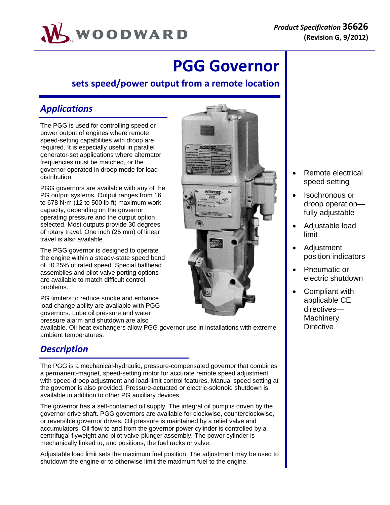

# **PGG Governor**

### **sets speed/power output from a remote location**

## *Applications*

The PGG is used for controlling speed or power output of engines where remote speed-setting capabilities with droop are required. It is especially useful in parallel generator-set applications where alternator frequencies must be matched, or the governor operated in droop mode for load distribution.

PGG governors are available with any of the PG output systems. Output ranges from 16 to 678 N $\cdot$ m (12 to 500 lb-ft) maximum work capacity, depending on the governor operating pressure and the output option selected. Most outputs provide 30 degrees of rotary travel. One inch (25 mm) of linear travel is also available.

The PGG governor is designed to operate the engine within a steady-state speed band of ±0.25% of rated speed. Special ballhead assemblies and pilot-valve porting options are available to match difficult control problems.

PG limiters to reduce smoke and enhance load change ability are available with PGG governors. Lube oil pressure and water pressure alarm and shutdown are also

available. Oil heat exchangers allow PGG governor use in installations with extreme ambient temperatures.

# *Description*

The PGG is a mechanical-hydraulic, pressure-compensated governor that combines a permanent-magnet, speed-setting motor for accurate remote speed adjustment with speed-droop adjustment and load-limit control features. Manual speed setting at the governor is also provided. Pressure-actuated or electric-solenoid shutdown is available in addition to other PG auxiliary devices.

The governor has a self-contained oil supply. The integral oil pump is driven by the governor drive shaft. PGG governors are available for clockwise, counterclockwise, or reversible governor drives. Oil pressure is maintained by a relief valve and accumulators. Oil flow to and from the governor power cylinder is controlled by a centrifugal flyweight and pilot-valve-plunger assembly. The power cylinder is mechanically linked to, and positions, the fuel racks or valve.

Adjustable load limit sets the maximum fuel position. The adjustment may be used to shutdown the engine or to otherwise limit the maximum fuel to the engine.



- Remote electrical speed setting
- Isochronous or droop operation fully adjustable
- Adjustable load limit
- Adjustment position indicators
- Pneumatic or electric shutdown
- Compliant with applicable CE directives— **Machinery Directive**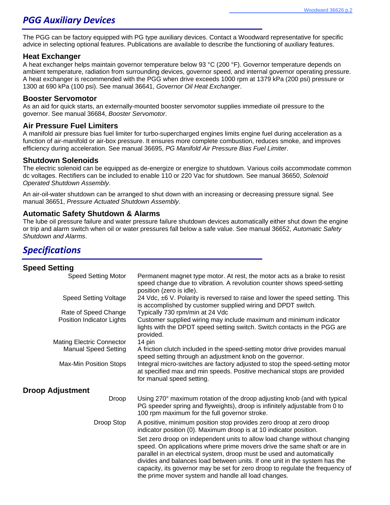### *PGG Auxiliary Devices*

The PGG can be factory equipped with PG type auxiliary devices. Contact a Woodward representative for specific advice in selecting optional features. Publications are available to describe the functioning of auxiliary features.

#### **Heat Exchanger**

A heat exchanger helps maintain governor temperature below 93 °C (200 °F). Governor temperature depends on ambient temperature, radiation from surrounding devices, governor speed, and internal governor operating pressure. A heat exchanger is recommended with the PGG when drive exceeds 1000 rpm at 1379 kPa (200 psi) pressure or 1300 at 690 kPa (100 psi). See manual 36641, *Governor Oil Heat Exchanger*.

#### **Booster Servomotor**

As an aid for quick starts, an externally-mounted booster servomotor supplies immediate oil pressure to the governor. See manual 36684, *Booster Servomotor*.

#### **Air Pressure Fuel Limiters**

A manifold air pressure bias fuel limiter for turbo-supercharged engines limits engine fuel during acceleration as a function of air-manifold or air-box pressure. It ensures more complete combustion, reduces smoke, and improves efficiency during acceleration. See manual 36695, *PG Manifold Air Pressure Bias Fuel Limiter*.

#### **Shutdown Solenoids**

The electric solenoid can be equipped as de-energize or energize to shutdown. Various coils accommodate common dc voltages. Rectifiers can be included to enable 110 or 220 Vac for shutdown. See manual 36650, *Solenoid Operated Shutdown Assembly*.

An air-oil-water shutdown can be arranged to shut down with an increasing or decreasing pressure signal. See manual 36651, *Pressure Actuated Shutdown Assembly*.

#### **Automatic Safety Shutdown & Alarms**

The lube oil pressure failure and water pressure failure shutdown devices automatically either shut down the engine or trip and alarm switch when oil or water pressures fall below a safe value. See manual 36652, *Automatic Safety Shutdown and Alarms*.

### *Specifications*

#### **Speed Setting**  Speed Setting Motor Permanent magnet type motor. At rest, the motor acts as a brake to resist speed change due to vibration. A revolution counter shows speed-setting position (zero is idle). Speed Setting Voltage 24 Vdc, ±6 V. Polarity is reversed to raise and lower the speed setting. This is accomplished by customer supplied wiring and DPDT switch. Rate of Speed Change Typically 730 rpm/min at 24 Vdc Position Indicator Lights Customer supplied wiring may include maximum and minimum indicator lights with the DPDT speed setting switch. Switch contacts in the PGG are provided. Mating Electric Connector 14 pin Manual Speed Setting A friction clutch included in the speed-setting motor drive provides manual speed setting through an adjustment knob on the governor. Max-Min Position Stops Integral micro-switches are factory adjusted to stop the speed-setting motor at specified max and min speeds. Positive mechanical stops are provided for manual speed setting. **Droop Adjustment**  Droop Using 270° maximum rotation of the droop adjusting knob (and with typical PG speeder spring and flyweights), droop is infinitely adjustable from 0 to 100 rpm maximum for the full governor stroke. Droop Stop A positive, minimum position stop provides zero droop at zero droop indicator position (0). Maximum droop is at 10 indicator position. Set zero droop on independent units to allow load change without changing speed. On applications where prime movers drive the same shaft or are in parallel in an electrical system, droop must be used and automatically divides and balances load between units. If one unit in the system has the capacity, its governor may be set for zero droop to regulate the frequency of the prime mover system and handle all load changes.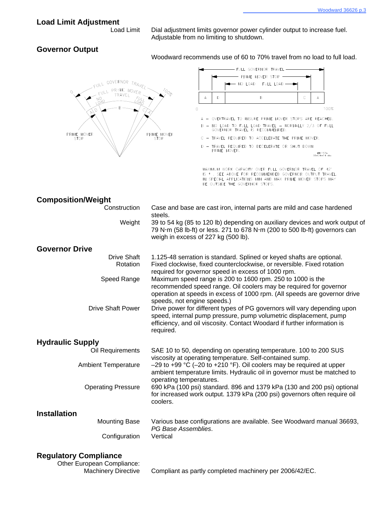#### **Load Limit Adjustment**

 Load Limit Dial adjustment limits governor power cylinder output to increase fuel. Adjustable from no limiting to shutdown.

#### **Governor Output**

Woodward recommends use of 60 to 70% travel from no load to full load.



#### **Regulatory Compliance**

Other European Compliance:

Machinery Directive Compliant as partly completed machinery per 2006/42/EC.